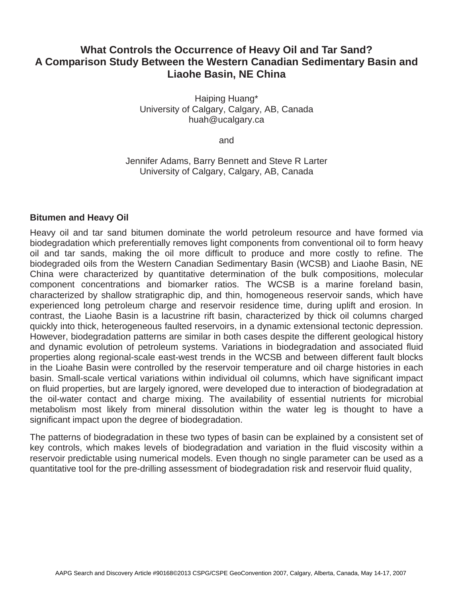## **What Controls the Occurrence of Heavy Oil and Tar Sand? A Comparison Study Between the Western Canadian Sedimentary Basin and Liaohe Basin, NE China**

Haiping Huang\* University of Calgary, Calgary, AB, Canada huah@ucalgary.ca

and

Jennifer Adams, Barry Bennett and Steve R Larter University of Calgary, Calgary, AB, Canada

## **Bitumen and Heavy Oil**

Heavy oil and tar sand bitumen dominate the world petroleum resource and have formed via biodegradation which preferentially removes light components from conventional oil to form heavy oil and tar sands, making the oil more difficult to produce and more costly to refine. The biodegraded oils from the Western Canadian Sedimentary Basin (WCSB) and Liaohe Basin, NE China were characterized by quantitative determination of the bulk compositions, molecular component concentrations and biomarker ratios. The WCSB is a marine foreland basin, characterized by shallow stratigraphic dip, and thin, homogeneous reservoir sands, which have experienced long petroleum charge and reservoir residence time, during uplift and erosion. In contrast, the Liaohe Basin is a lacustrine rift basin, characterized by thick oil columns charged quickly into thick, heterogeneous faulted reservoirs, in a dynamic extensional tectonic depression. However, biodegradation patterns are similar in both cases despite the different geological history and dynamic evolution of petroleum systems. Variations in biodegradation and associated fluid properties along regional-scale east-west trends in the WCSB and between different fault blocks in the Lioahe Basin were controlled by the reservoir temperature and oil charge histories in each basin. Small-scale vertical variations within individual oil columns, which have significant impact on fluid properties, but are largely ignored, were developed due to interaction of biodegradation at the oil-water contact and charge mixing. The availability of essential nutrients for microbial metabolism most likely from mineral dissolution within the water leg is thought to have a significant impact upon the degree of biodegradation.

The patterns of biodegradation in these two types of basin can be explained by a consistent set of key controls, which makes levels of biodegradation and variation in the fluid viscosity within a reservoir predictable using numerical models. Even though no single parameter can be used as a quantitative tool for the pre-drilling assessment of biodegradation risk and reservoir fluid quality,